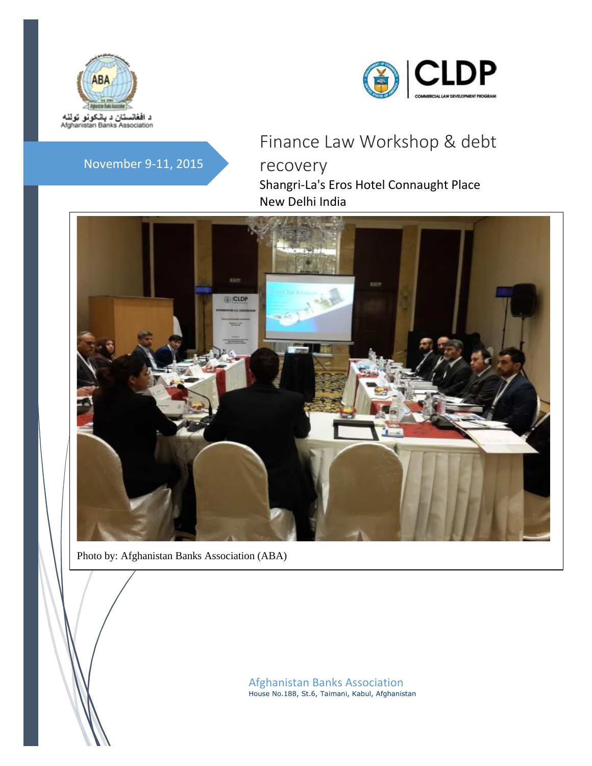



## November 9-11, 2015

# Finance Law Workshop & debt recovery Shangri-La's Eros Hotel Connaught Place New Delhi India



Photo by: Afghanistan Banks Association (ABA)

Afghanistan Banks Association House No.188, St.6, Taimani, Kabul, Afghanistan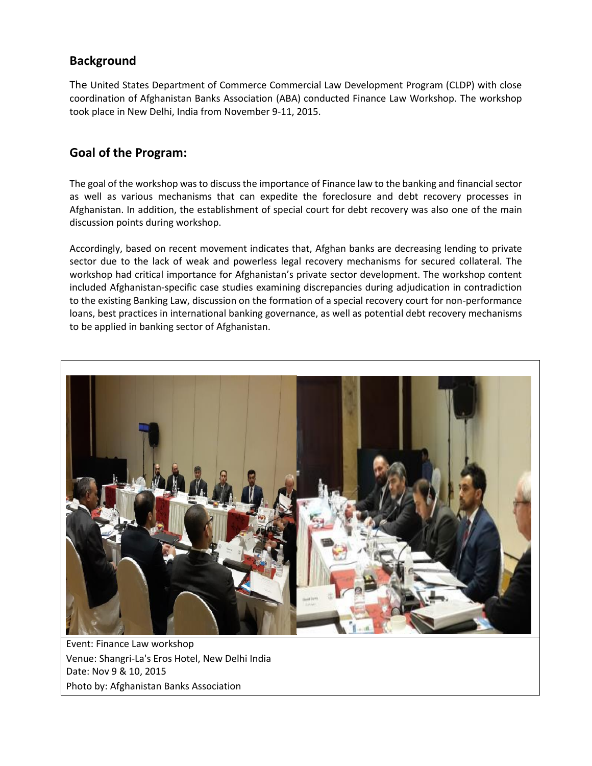## **Background**

The United States Department of Commerce Commercial Law Development Program (CLDP) with close coordination of Afghanistan Banks Association (ABA) conducted Finance Law Workshop. The workshop took place in New Delhi, India from November 9-11, 2015.

## **Goal of the Program:**

The goal of the workshop was to discuss the importance of Finance law to the banking and financial sector as well as various mechanisms that can expedite the foreclosure and debt recovery processes in Afghanistan. In addition, the establishment of special court for debt recovery was also one of the main discussion points during workshop.

Accordingly, based on recent movement indicates that, Afghan banks are decreasing lending to private sector due to the lack of weak and powerless legal recovery mechanisms for secured collateral. The workshop had critical importance for Afghanistan's private sector development. The workshop content included Afghanistan-specific case studies examining discrepancies during adjudication in contradiction to the existing Banking Law, discussion on the formation of a special recovery court for non-performance loans, best practices in international banking governance, as well as potential debt recovery mechanisms to be applied in banking sector of Afghanistan.



Event: Finance Law workshop Venue: Shangri-La's Eros Hotel, New Delhi India Date: Nov 9 & 10, 2015 Photo by: Afghanistan Banks Association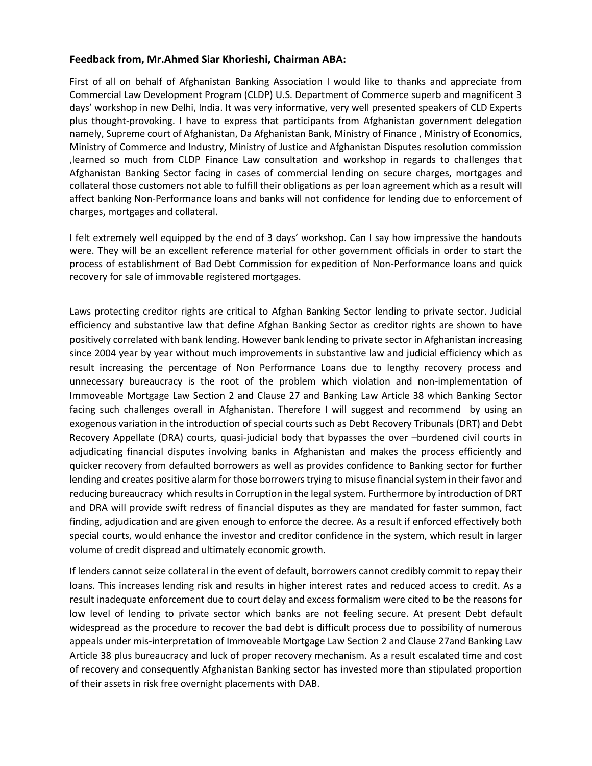#### **Feedback from, Mr.Ahmed Siar Khorieshi, Chairman ABA:**

First of all on behalf of Afghanistan Banking Association I would like to thanks and appreciate from Commercial Law Development Program (CLDP) U.S. Department of Commerce superb and magnificent 3 days' workshop in new Delhi, India. It was very informative, very well presented speakers of CLD Experts plus thought-provoking. I have to express that participants from Afghanistan government delegation namely, Supreme court of Afghanistan, Da Afghanistan Bank, Ministry of Finance , Ministry of Economics, Ministry of Commerce and Industry, Ministry of Justice and Afghanistan Disputes resolution commission ,learned so much from CLDP Finance Law consultation and workshop in regards to challenges that Afghanistan Banking Sector facing in cases of commercial lending on secure charges, mortgages and collateral those customers not able to fulfill their obligations as per loan agreement which as a result will affect banking Non-Performance loans and banks will not confidence for lending due to enforcement of charges, mortgages and collateral.

I felt extremely well equipped by the end of 3 days' workshop. Can I say how impressive the handouts were. They will be an excellent reference material for other government officials in order to start the process of establishment of Bad Debt Commission for expedition of Non-Performance loans and quick recovery for sale of immovable registered mortgages.

Laws protecting creditor rights are critical to Afghan Banking Sector lending to private sector. Judicial efficiency and substantive law that define Afghan Banking Sector as creditor rights are shown to have positively correlated with bank lending. However bank lending to private sector in Afghanistan increasing since 2004 year by year without much improvements in substantive law and judicial efficiency which as result increasing the percentage of Non Performance Loans due to lengthy recovery process and unnecessary bureaucracy is the root of the problem which violation and non-implementation of Immoveable Mortgage Law Section 2 and Clause 27 and Banking Law Article 38 which Banking Sector facing such challenges overall in Afghanistan. Therefore I will suggest and recommend by using an exogenous variation in the introduction of special courts such as Debt Recovery Tribunals (DRT) and Debt Recovery Appellate (DRA) courts, quasi-judicial body that bypasses the over –burdened civil courts in adjudicating financial disputes involving banks in Afghanistan and makes the process efficiently and quicker recovery from defaulted borrowers as well as provides confidence to Banking sector for further lending and creates positive alarm for those borrowers trying to misuse financial system in their favor and reducing bureaucracy which results in Corruption in the legal system. Furthermore by introduction of DRT and DRA will provide swift redress of financial disputes as they are mandated for faster summon, fact finding, adjudication and are given enough to enforce the decree. As a result if enforced effectively both special courts, would enhance the investor and creditor confidence in the system, which result in larger volume of credit dispread and ultimately economic growth.

If lenders cannot seize collateral in the event of default, borrowers cannot credibly commit to repay their loans. This increases lending risk and results in higher interest rates and reduced access to credit. As a result inadequate enforcement due to court delay and excess formalism were cited to be the reasons for low level of lending to private sector which banks are not feeling secure. At present Debt default widespread as the procedure to recover the bad debt is difficult process due to possibility of numerous appeals under mis-interpretation of Immoveable Mortgage Law Section 2 and Clause 27and Banking Law Article 38 plus bureaucracy and luck of proper recovery mechanism. As a result escalated time and cost of recovery and consequently Afghanistan Banking sector has invested more than stipulated proportion of their assets in risk free overnight placements with DAB.